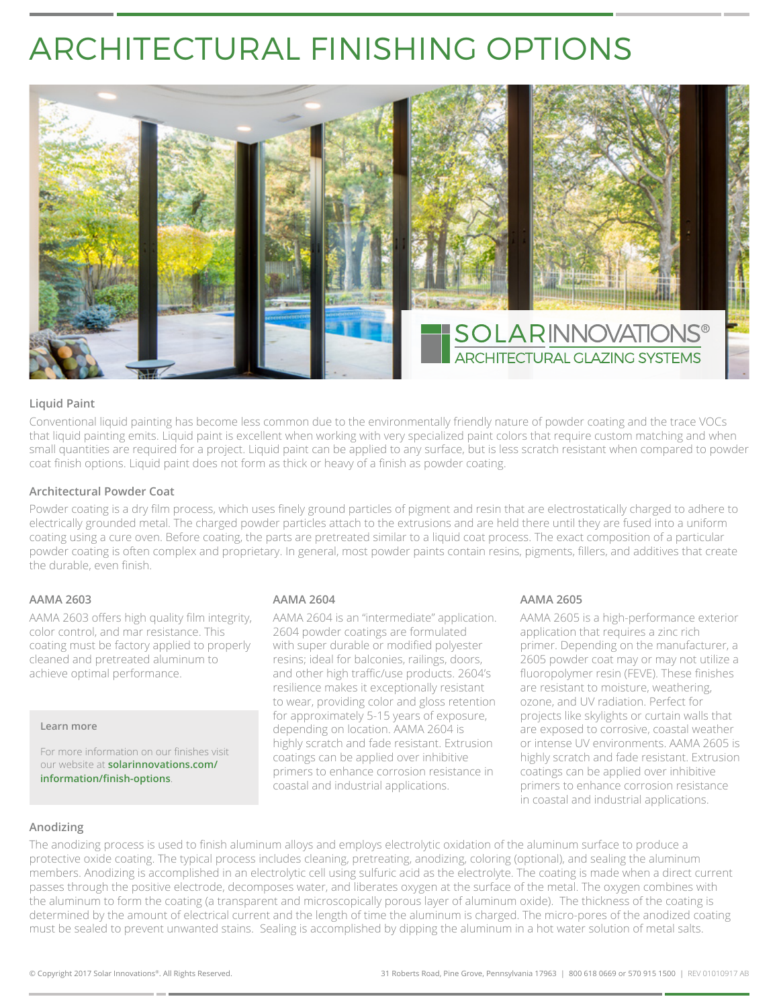## ARCHITECTURAL FINISHING OPTIONS



#### **Liquid Paint**

Conventional liquid painting has become less common due to the environmentally friendly nature of powder coating and the trace VOCs that liquid painting emits. Liquid paint is excellent when working with very specialized paint colors that require custom matching and when small quantities are required for a project. Liquid paint can be applied to any surface, but is less scratch resistant when compared to powder coat finish options. Liquid paint does not form as thick or heavy of a finish as powder coating.

#### **Architectural Powder Coat**

Powder coating is a dry film process, which uses finely ground particles of pigment and resin that are electrostatically charged to adhere to electrically grounded metal. The charged powder particles attach to the extrusions and are held there until they are fused into a uniform coating using a cure oven. Before coating, the parts are pretreated similar to a liquid coat process. The exact composition of a particular powder coating is often complex and proprietary. In general, most powder paints contain resins, pigments, fillers, and additives that create the durable, even finish.

#### **AAMA 2603**

AAMA 2603 offers high quality film integrity, color control, and mar resistance. This coating must be factory applied to properly cleaned and pretreated aluminum to achieve optimal performance.

#### **Learn more**

For more information on our finishes visit our website at **solarinnovations.com/ information/finish-options**.

#### **AAMA 2604**

AAMA 2604 is an "intermediate" application. 2604 powder coatings are formulated with super durable or modified polyester resins; ideal for balconies, railings, doors, and other high traffic/use products. 2604's resilience makes it exceptionally resistant to wear, providing color and gloss retention for approximately 5-15 years of exposure, depending on location. AAMA 2604 is highly scratch and fade resistant. Extrusion coatings can be applied over inhibitive primers to enhance corrosion resistance in coastal and industrial applications.

#### **AAMA 2605**

AAMA 2605 is a high-performance exterior application that requires a zinc rich primer. Depending on the manufacturer, a 2605 powder coat may or may not utilize a fluoropolymer resin (FEVE). These finishes are resistant to moisture, weathering, ozone, and UV radiation. Perfect for projects like skylights or curtain walls that are exposed to corrosive, coastal weather or intense UV environments. AAMA 2605 is highly scratch and fade resistant. Extrusion coatings can be applied over inhibitive primers to enhance corrosion resistance in coastal and industrial applications.

#### **Anodizing**

The anodizing process is used to finish aluminum alloys and employs electrolytic oxidation of the aluminum surface to produce a protective oxide coating. The typical process includes cleaning, pretreating, anodizing, coloring (optional), and sealing the aluminum members. Anodizing is accomplished in an electrolytic cell using sulfuric acid as the electrolyte. The coating is made when a direct current passes through the positive electrode, decomposes water, and liberates oxygen at the surface of the metal. The oxygen combines with the aluminum to form the coating (a transparent and microscopically porous layer of aluminum oxide). The thickness of the coating is determined by the amount of electrical current and the length of time the aluminum is charged. The micro-pores of the anodized coating must be sealed to prevent unwanted stains. Sealing is accomplished by dipping the aluminum in a hot water solution of metal salts.